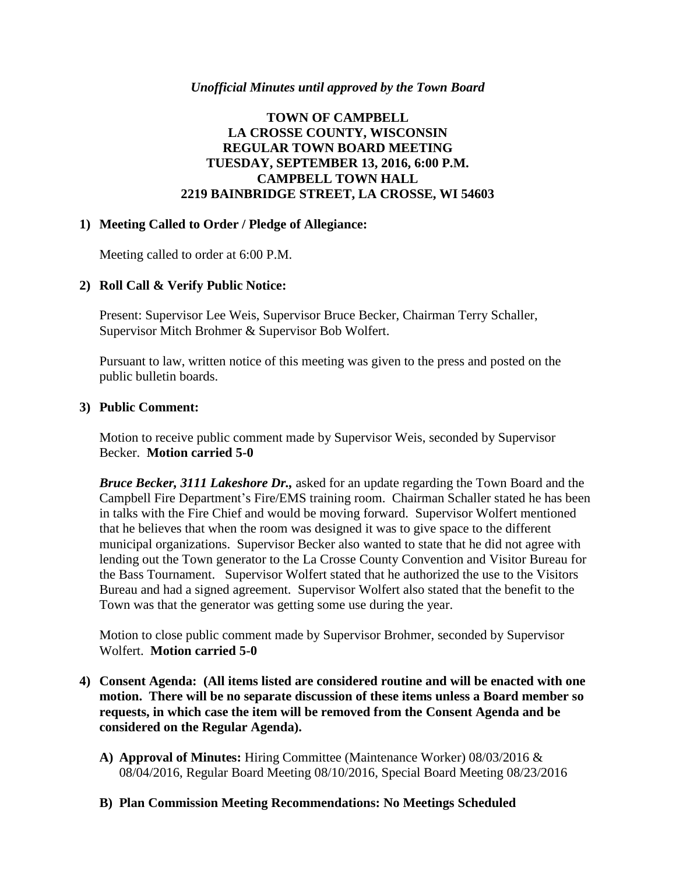#### *Unofficial Minutes until approved by the Town Board*

## **TOWN OF CAMPBELL LA CROSSE COUNTY, WISCONSIN REGULAR TOWN BOARD MEETING TUESDAY, SEPTEMBER 13, 2016, 6:00 P.M. CAMPBELL TOWN HALL 2219 BAINBRIDGE STREET, LA CROSSE, WI 54603**

### **1) Meeting Called to Order / Pledge of Allegiance:**

Meeting called to order at 6:00 P.M.

### **2) Roll Call & Verify Public Notice:**

Present: Supervisor Lee Weis, Supervisor Bruce Becker, Chairman Terry Schaller, Supervisor Mitch Brohmer & Supervisor Bob Wolfert.

Pursuant to law, written notice of this meeting was given to the press and posted on the public bulletin boards.

#### **3) Public Comment:**

Motion to receive public comment made by Supervisor Weis, seconded by Supervisor Becker. **Motion carried 5-0**

*Bruce Becker, 3111 Lakeshore Dr.,* asked for an update regarding the Town Board and the Campbell Fire Department's Fire/EMS training room. Chairman Schaller stated he has been in talks with the Fire Chief and would be moving forward. Supervisor Wolfert mentioned that he believes that when the room was designed it was to give space to the different municipal organizations. Supervisor Becker also wanted to state that he did not agree with lending out the Town generator to the La Crosse County Convention and Visitor Bureau for the Bass Tournament. Supervisor Wolfert stated that he authorized the use to the Visitors Bureau and had a signed agreement. Supervisor Wolfert also stated that the benefit to the Town was that the generator was getting some use during the year.

Motion to close public comment made by Supervisor Brohmer, seconded by Supervisor Wolfert. **Motion carried 5-0**

- **4) Consent Agenda: (All items listed are considered routine and will be enacted with one motion. There will be no separate discussion of these items unless a Board member so requests, in which case the item will be removed from the Consent Agenda and be considered on the Regular Agenda).**
	- **A) Approval of Minutes:** Hiring Committee (Maintenance Worker) 08/03/2016 & 08/04/2016, Regular Board Meeting 08/10/2016, Special Board Meeting 08/23/2016
	- **B) Plan Commission Meeting Recommendations: No Meetings Scheduled**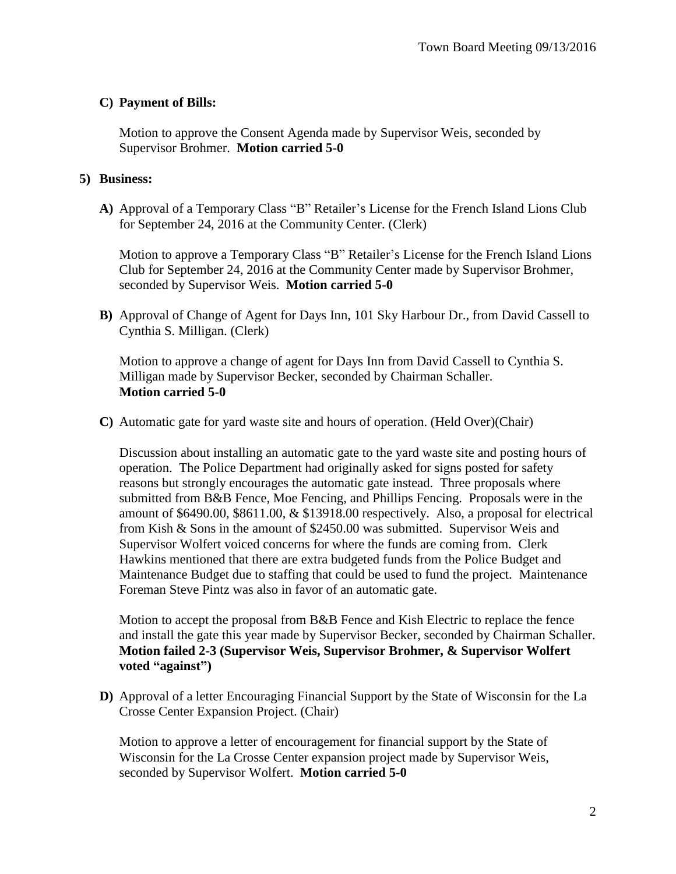## **C) Payment of Bills:**

Motion to approve the Consent Agenda made by Supervisor Weis, seconded by Supervisor Brohmer. **Motion carried 5-0**

### **5) Business:**

**A)** Approval of a Temporary Class "B" Retailer's License for the French Island Lions Club for September 24, 2016 at the Community Center. (Clerk)

Motion to approve a Temporary Class "B" Retailer's License for the French Island Lions Club for September 24, 2016 at the Community Center made by Supervisor Brohmer, seconded by Supervisor Weis. **Motion carried 5-0**

**B)** Approval of Change of Agent for Days Inn, 101 Sky Harbour Dr., from David Cassell to Cynthia S. Milligan. (Clerk)

Motion to approve a change of agent for Days Inn from David Cassell to Cynthia S. Milligan made by Supervisor Becker, seconded by Chairman Schaller. **Motion carried 5-0**

**C)** Automatic gate for yard waste site and hours of operation. (Held Over)(Chair)

Discussion about installing an automatic gate to the yard waste site and posting hours of operation. The Police Department had originally asked for signs posted for safety reasons but strongly encourages the automatic gate instead. Three proposals where submitted from B&B Fence, Moe Fencing, and Phillips Fencing. Proposals were in the amount of \$6490.00, \$8611.00, & \$13918.00 respectively. Also, a proposal for electrical from Kish & Sons in the amount of \$2450.00 was submitted. Supervisor Weis and Supervisor Wolfert voiced concerns for where the funds are coming from. Clerk Hawkins mentioned that there are extra budgeted funds from the Police Budget and Maintenance Budget due to staffing that could be used to fund the project. Maintenance Foreman Steve Pintz was also in favor of an automatic gate.

Motion to accept the proposal from B&B Fence and Kish Electric to replace the fence and install the gate this year made by Supervisor Becker, seconded by Chairman Schaller. **Motion failed 2-3 (Supervisor Weis, Supervisor Brohmer, & Supervisor Wolfert voted "against")**

**D)** Approval of a letter Encouraging Financial Support by the State of Wisconsin for the La Crosse Center Expansion Project. (Chair)

Motion to approve a letter of encouragement for financial support by the State of Wisconsin for the La Crosse Center expansion project made by Supervisor Weis, seconded by Supervisor Wolfert. **Motion carried 5-0**